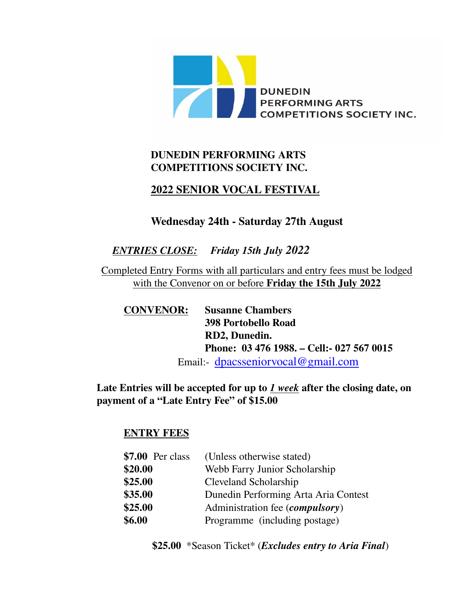

## **DUNEDIN PERFORMING ARTS COMPETITIONS SOCIETY INC.**

## **2022 SENIOR VOCAL FESTIVAL**

#### **Wednesday 24th - Saturday 27th August**

## *ENTRIES CLOSE: Friday 15th July 2022*

Completed Entry Forms with all particulars and entry fees must be lodged with the Convenor on or before **Friday the 15th July 2022**

**CONVENOR: Susanne Chambers 398 Portobello Road RD2, Dunedin. Phone: 03 476 1988. – Cell:- 027 567 0015** Email:- [dpacsseniorvocal@gmail.com](mailto:dpacsseniorvocal@gmail.com)

**Late Entries will be accepted for up to** *1 week* **after the closing date, on payment of a "Late Entry Fee" of \$15.00**

#### **ENTRY FEES**

| $$7.00$ Per class | (Unless otherwise stated)                |  |
|-------------------|------------------------------------------|--|
| \$20.00           | Webb Farry Junior Scholarship            |  |
| \$25.00           | Cleveland Scholarship                    |  |
| \$35.00           | Dunedin Performing Arta Aria Contest     |  |
| \$25.00           | Administration fee ( <i>compulsory</i> ) |  |
| \$6.00            | Programme (including postage)            |  |

**\$25.00** \*Season Ticket\* (*Excludes entry to Aria Final*)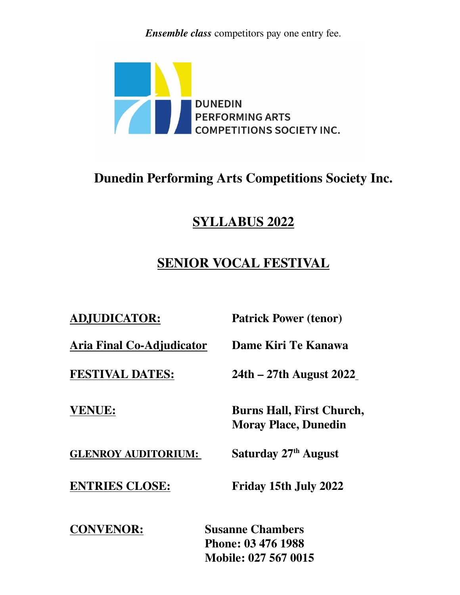*Ensemble class* competitors pay one entry fee.



# **Dunedin Performing Arts Competitions Society Inc.**

## **SYLLABUS 2022**

# **SENIOR VOCAL FESTIVAL**

| <b>ADJUDICATOR:</b>        | <b>Patrick Power (tenor)</b>                                                 |
|----------------------------|------------------------------------------------------------------------------|
| Aria Final Co-Adjudicator  | Dame Kiri Te Kanawa                                                          |
| <b>FESTIVAL DATES:</b>     | 24th – 27th August 2022                                                      |
| <b>VENUE:</b>              | <b>Burns Hall, First Church,</b><br><b>Moray Place, Dunedin</b>              |
| <b>GLENROY AUDITORIUM:</b> | Saturday 27th August                                                         |
| <b>ENTRIES CLOSE:</b>      | Friday 15th July 2022                                                        |
| <b>CONVENOR:</b>           | <b>Susanne Chambers</b><br>Phone: 03 476 1988<br><b>Mobile: 027 567 0015</b> |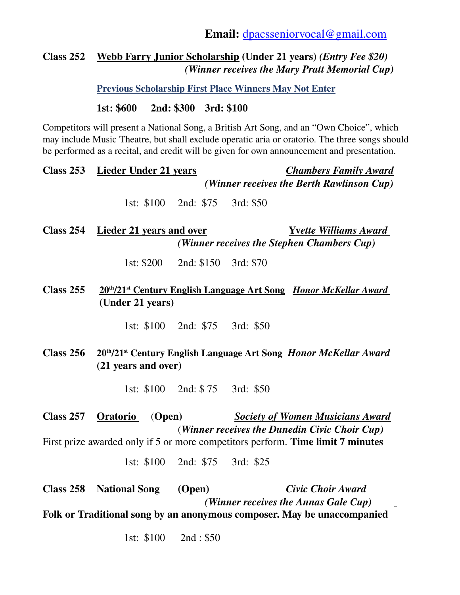#### **Class 252 Webb Farry Junior Scholarship (Under 21 years)** *(Entry Fee \$20)* *(Winner receives the Mary Pratt Memorial Cup)*

 **Previous Scholarship First Place Winners May Not Enter** 

**1st: \$600 2nd: \$300 3rd: \$100**

Competitors will present a National Song, a British Art Song, and an "Own Choice", which may include Music Theatre, but shall exclude operatic aria or oratorio. The three songs should be performed as a recital, and credit will be given for own announcement and presentation.

|             | Class 253 Lieder Under 21 years                                                                                      |  | <b>Chambers Family Award</b><br>(Winner receives the Berth Rawlinson Cup) |                                                                                                  |
|-------------|----------------------------------------------------------------------------------------------------------------------|--|---------------------------------------------------------------------------|--------------------------------------------------------------------------------------------------|
|             | 1st: \$100 2nd: \$75                                                                                                 |  | 3rd: \$50                                                                 |                                                                                                  |
|             | Class 254 Lieder 21 years and over                                                                                   |  |                                                                           | <b>Yvette Williams Award</b><br>(Winner receives the Stephen Chambers Cup)                       |
|             | 1st: $\$200$ 2nd: $\$150$                                                                                            |  | 3rd: \$70                                                                 |                                                                                                  |
| Class 255   | 20 <sup>th</sup> /21 <sup>st</sup> Century English Language Art Song <i>Honor McKellar Award</i><br>(Under 21 years) |  |                                                                           |                                                                                                  |
|             | 1st: $$100$ 2nd: $$75$                                                                                               |  | 3rd: \$50                                                                 |                                                                                                  |
| Class $256$ |                                                                                                                      |  |                                                                           | 20 <sup>th</sup> /21 <sup>st</sup> Century English Language Art Song <i>Honor McKellar Award</i> |

1st: \$100 2nd: \$ 75 3rd: \$50

**(21 years and over)** 

**Class 257 Oratorio** (**Open)** *Society of Women Musicians Award* (*Winner receives the Dunedin Civic Choir Cup)*

First prize awarded only if 5 or more competitors perform. **Time limit 7 minutes**

1st: \$100 2nd: \$75 3rd: \$25

**Class 258 National Song (Open)** *Civic Choir Award (Winner receives the Annas Gale Cup)*

**Folk or Traditional song by an anonymous composer. May be unaccompanied**

1st: \$100 2nd : \$50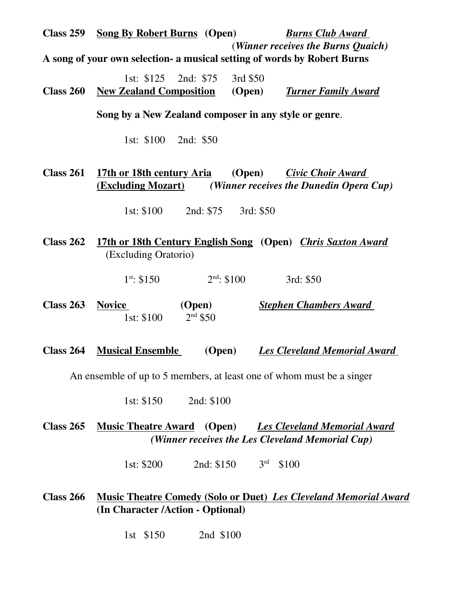| <b>Class 259</b> | <b>Song By Robert Burns</b> (Open)                                     |                      | <b>Burns Club Award</b><br>(Winner receives the Burns Quaich)                           |
|------------------|------------------------------------------------------------------------|----------------------|-----------------------------------------------------------------------------------------|
|                  |                                                                        |                      | A song of your own selection- a musical setting of words by Robert Burns                |
| <b>Class 260</b> | 1st: \$125 2nd: \$75 3rd \$50<br><b>New Zealand Composition</b> (Open) |                      | <b>Turner Family Award</b>                                                              |
|                  | Song by a New Zealand composer in any style or genre.                  |                      |                                                                                         |
|                  | 1st: \$100 2nd: \$50                                                   |                      |                                                                                         |
| Class $261$      | 17th or 18th century Aria<br><u>(Excluding Mozart)</u>                 |                      | (Open)<br>Civic Choir Award<br>(Winner receives the Dunedin Opera Cup)                  |
|                  | 1st: \$100 2nd: \$75 3rd: \$50                                         |                      |                                                                                         |
| <b>Class 262</b> | (Excluding Oratorio)                                                   |                      | 17th or 18th Century English Song (Open) Chris Saxton Award                             |
|                  | $1^{st}$ : \$150                                                       | $2nd$ : \$100        | 3rd: \$50                                                                               |
| Class 263        | <b>Novice</b><br>1st: \$100                                            | (Open)<br>$2nd$ \$50 | <b>Stephen Chambers Award</b>                                                           |
| <b>Class 264</b> | <b>Musical Ensemble</b>                                                | (Open)               | <b>Les Cleveland Memorial Award</b>                                                     |
|                  |                                                                        |                      | An ensemble of up to 5 members, at least one of whom must be a singer                   |
|                  | 1st: $$150$                                                            | 2nd: \$100           |                                                                                         |
| <b>Class 265</b> | <b>Music Theatre Award</b> (Open)                                      |                      | <b>Les Cleveland Memorial Award</b><br>(Winner receives the Les Cleveland Memorial Cup) |
|                  | 1st: $$200$                                                            | 2nd: \$150           | 3 <sup>rd</sup><br>\$100                                                                |
| <b>Class 266</b> | (In Character / Action - Optional)                                     |                      | <b>Music Theatre Comedy (Solo or Duet) Les Cleveland Memorial Award</b>                 |
|                  | 1st \$150                                                              | 2nd \$100            |                                                                                         |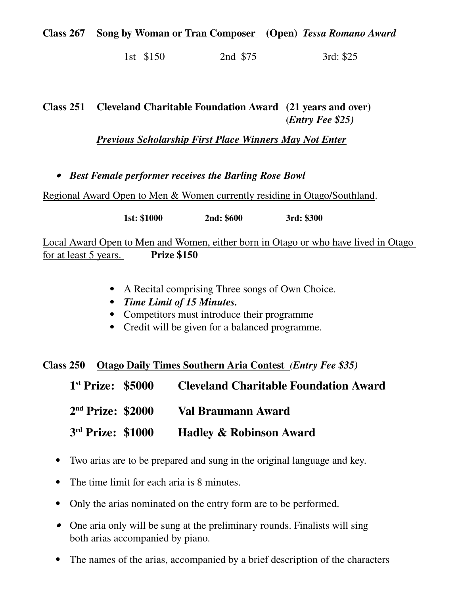#### **Class 267 Song by Woman or Tran Composer (Open)** *Tessa Romano Award*

1st \$150 2nd \$75 3rd: \$25

#### **Class 251 Cleveland Charitable Foundation Award (21 years and over) (***Entry Fee \$25)*

*Previous Scholarship First Place Winners May Not Enter* 

*Best Female performer receives the Barling Rose Bowl* 

Regional Award Open to Men & Women currently residing in Otago/Southland.

**1st: \$1000 2nd: \$600 3rd: \$300**

Local Award Open to Men and Women, either born in Otago or who have lived in Otago for at least 5 years. **Prize \$150**

- A Recital comprising Three songs of Own Choice.
- *Time Limit of 15 Minutes.*
- Competitors must introduce their programme
- Credit will be given for a balanced programme.

**Class 250 Otago Daily Times Southern Aria Contest** *(Entry Fee \$35)*

| $1st$ Prize: \$5000 | <b>Cleveland Charitable Foundation Award</b> |
|---------------------|----------------------------------------------|
| $2nd$ Prize: \$2000 | <b>Val Braumann Award</b>                    |
| 3rd Prize: \$1000   | <b>Hadley &amp; Robinson Award</b>           |

- Two arias are to be prepared and sung in the original language and key.
- The time limit for each aria is 8 minutes.
- Only the arias nominated on the entry form are to be performed.
- One aria only will be sung at the preliminary rounds. Finalists will sing both arias accompanied by piano.
- The names of the arias, accompanied by a brief description of the characters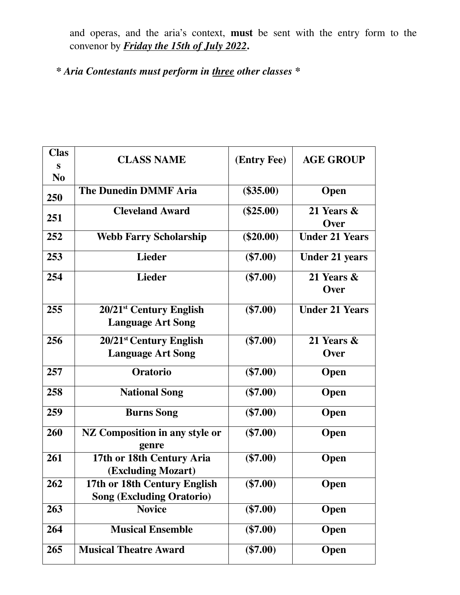and operas, and the aria's context, **must** be sent with the entry form to the convenor by *Friday the 15th of July 2022***.** 

*\* Aria Contestants must perform in three other classes \**

| <b>Clas</b>    | <b>CLASS NAME</b>                       | (Entry Fee) | <b>AGE GROUP</b>      |
|----------------|-----------------------------------------|-------------|-----------------------|
| S              |                                         |             |                       |
| N <sub>0</sub> | <b>The Dunedin DMMF Aria</b>            | $(\$35.00)$ |                       |
| 250            |                                         |             | <b>Open</b>           |
| 251            | <b>Cleveland Award</b>                  | $(\$25.00)$ | 21 Years &            |
|                |                                         |             | Over                  |
| 252            | <b>Webb Farry Scholarship</b>           | $(\$20.00)$ | <b>Under 21 Years</b> |
| 253            | <b>Lieder</b>                           | $(\$7.00)$  | <b>Under 21 years</b> |
| 254            | <b>Lieder</b>                           | $(\$7.00)$  | 21 Years &<br>Over    |
| 255            | $20/21$ <sup>st</sup> Century English   | $(\$7.00)$  | <b>Under 21 Years</b> |
|                | <b>Language Art Song</b>                |             |                       |
| 256            | 20/21 <sup>st</sup> Century English     | $(\$7.00)$  | 21 Years &            |
|                | <b>Language Art Song</b>                |             | Over                  |
| 257            | Oratorio                                | $(\$7.00)$  | Open                  |
| 258            | <b>National Song</b>                    | $(\$7.00)$  | <b>Open</b>           |
| 259            | <b>Burns Song</b>                       | $(\$7.00)$  | <b>Open</b>           |
| 260            | NZ Composition in any style or<br>genre | $(\$7.00)$  | <b>Open</b>           |
| 261            | 17th or 18th Century Aria               | $(\$7.00)$  | Open                  |
|                | (Excluding Mozart)                      |             |                       |
| 262            | 17th or 18th Century English            | $(\$7.00)$  | Open                  |
|                | <b>Song (Excluding Oratorio)</b>        |             |                       |
| 263            | <b>Novice</b>                           | $(\$7.00)$  | Open                  |
| 264            | <b>Musical Ensemble</b>                 | $(\$7.00)$  | <b>Open</b>           |
| 265            | <b>Musical Theatre Award</b>            | $(\$7.00)$  | <b>Open</b>           |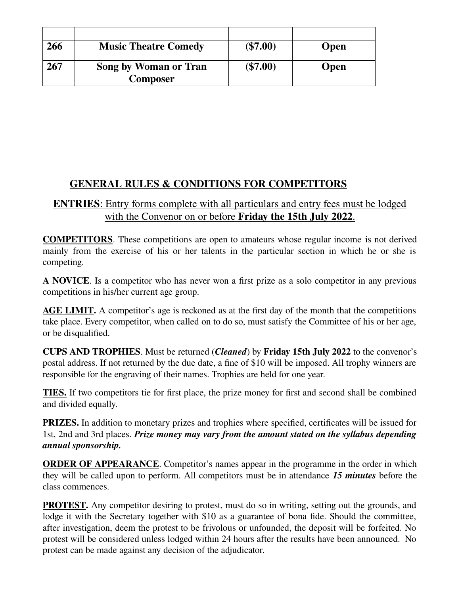| 266 | <b>Music Theatre Comedy</b> | $(\$7.00)$ | <b>Open</b> |
|-----|-----------------------------|------------|-------------|
|     |                             |            |             |
| 267 | Song by Woman or Tran       | $(\$7.00)$ | <b>Open</b> |
|     | <b>Composer</b>             |            |             |

## **GENERAL RULES & CONDITIONS FOR COMPETITORS**

#### **ENTRIES** : Entry forms complete with all particulars and entry fees must be lodged with the Convenor on or before **Friday the 15th July 2022**.

**COMPETITORS**. These competitions are open to amateurs whose regular income is not derived mainly from the exercise of his or her talents in the particular section in which he or she is competing.

 **A NOVICE**. Is a competitor who has never won a first prize as a solo competitor in any previous competitions in his/her current age group.

**AGE LIMIT.** A competitor's age is reckoned as at the first day of the month that the competitions take place. Every competitor, when called on to do so, must satisfy the Committee of his or her age, or be disqualified.

 **CUPS AND TROPHIES**. Must be returned (*Cleaned*) by **Friday 15th July 2022** to the convenor's postal address. If not returned by the due date, a fine of \$10 will be imposed. All trophy winners are responsible for the engraving of their names. Trophies are held for one year.

**TIES.** If two competitors tie for first place, the prize money for first and second shall be combined and divided equally.

**PRIZES.** In addition to monetary prizes and trophies where specified, certificates will be issued for 1st, 2nd and 3rd places. *Prize money may vary from the amount stated on the syllabus depending annual sponsorship.*

**ORDER OF APPEARANCE**. Competitor's names appear in the programme in the order in which they will be called upon to perform. All competitors must be in attendance *15 minutes* before the class commences.

**PROTEST.** Any competitor desiring to protest, must do so in writing, setting out the grounds, and lodge it with the Secretary together with \$10 as a guarantee of bona fide. Should the committee, after investigation, deem the protest to be frivolous or unfounded, the deposit will be forfeited. No protest will be considered unless lodged within 24 hours after the results have been announced. No protest can be made against any decision of the adjudicator.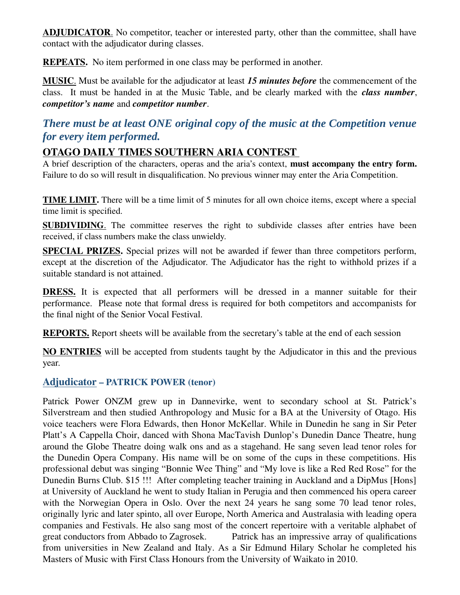**ADJUDICATOR.** No competitor, teacher or interested party, other than the committee, shall have contact with the adjudicator during classes.

**REPEATS.** No item performed in one class may be performed in another.

 **MUSIC**. Must be available for the adjudicator at least *15 minutes before* the commencement of the class. It must be handed in at the Music Table, and be clearly marked with the *class number*, *competitor's name* and *competitor number*.

## *There must be at least ONE original copy of the music at the Competition venue for every item performed.*

## **OTAGO DAILY TIMES SOUTHERN ARIA CONTEST**

A brief description of the characters, operas and the aria's context, **must accompany the entry form.** Failure to do so will result in disqualification. No previous winner may enter the Aria Competition.

**TIME LIMIT.** There will be a time limit of 5 minutes for all own choice items, except where a special time limit is specified.

**SUBDIVIDING**. The committee reserves the right to subdivide classes after entries have been received, if class numbers make the class unwieldy.

**SPECIAL PRIZES.** Special prizes will not be awarded if fewer than three competitors perform, except at the discretion of the Adjudicator. The Adjudicator has the right to withhold prizes if a suitable standard is not attained.

**DRESS.** It is expected that all performers will be dressed in a manner suitable for their performance. Please note that formal dress is required for both competitors and accompanists for the final night of the Senior Vocal Festival.

**REPORTS.** Report sheets will be available from the secretary's table at the end of each session

**NO ENTRIES** will be accepted from students taught by the Adjudicator in this and the previous year.

#### **Adjudicator – PATRICK POWER (tenor)**

Patrick Power ONZM grew up in Dannevirke, went to secondary school at St. Patrick's Silverstream and then studied Anthropology and Music for a BA at the University of Otago. His voice teachers were Flora Edwards, then Honor McKellar. While in Dunedin he sang in Sir Peter Platt's A Cappella Choir, danced with Shona MacTavish Dunlop's Dunedin Dance Theatre, hung around the Globe Theatre doing walk ons and as a stagehand. He sang seven lead tenor roles for the Dunedin Opera Company. His name will be on some of the cups in these competitions. His professional debut was singing "Bonnie Wee Thing" and "My love is like a Red Red Rose" for the Dunedin Burns Club. \$15 !!! After completing teacher training in Auckland and a DipMus [Hons] at University of Auckland he went to study Italian in Perugia and then commenced his opera career with the Norwegian Opera in Oslo. Over the next 24 years he sang some 70 lead tenor roles, originally lyric and later spinto, all over Europe, North America and Australasia with leading opera companies and Festivals. He also sang most of the concert repertoire with a veritable alphabet of great conductors from Abbado to Zagrosek. Patrick has an impressive array of qualifications from universities in New Zealand and Italy. As a Sir Edmund Hilary Scholar he completed his Masters of Music with First Class Honours from the University of Waikato in 2010.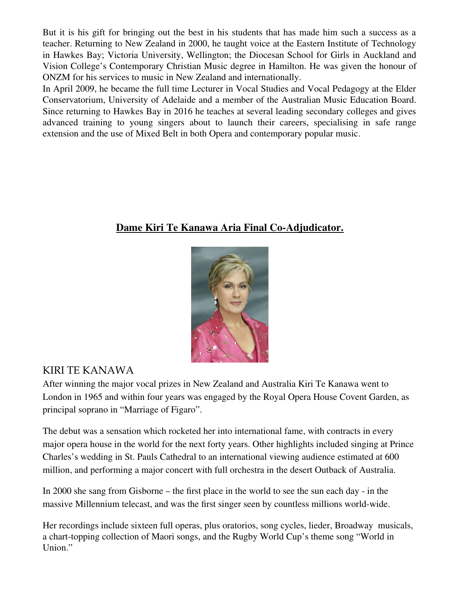But it is his gift for bringing out the best in his students that has made him such a success as a teacher. Returning to New Zealand in 2000, he taught voice at the Eastern Institute of Technology in Hawkes Bay; Victoria University, Wellington; the Diocesan School for Girls in Auckland and Vision College's Contemporary Christian Music degree in Hamilton. He was given the honour of ONZM for his services to music in New Zealand and internationally.

In April 2009, he became the full time Lecturer in Vocal Studies and Vocal Pedagogy at the Elder Conservatorium, University of Adelaide and a member of the Australian Music Education Board. Since returning to Hawkes Bay in 2016 he teaches at several leading secondary colleges and gives advanced training to young singers about to launch their careers, specialising in safe range extension and the use of Mixed Belt in both Opera and contemporary popular music.

#### **Dame Kiri Te Kanawa Aria Final Co-Adjudicator.**



## KIRI TE KANAWA

After winning the major vocal prizes in New Zealand and Australia Kiri Te Kanawa went to London in 1965 and within four years was engaged by the Royal Opera House Covent Garden, as principal soprano in "Marriage of Figaro".

The debut was a sensation which rocketed her into international fame, with contracts in every major opera house in the world for the next forty years. Other highlights included singing at Prince Charles's wedding in St. Pauls Cathedral to an international viewing audience estimated at 600 million, and performing a major concert with full orchestra in the desert Outback of Australia.

In 2000 she sang from Gisborne – the first place in the world to see the sun each day - in the massive Millennium telecast, and was the first singer seen by countless millions world-wide.

Her recordings include sixteen full operas, plus oratorios, song cycles, lieder, Broadway musicals, a chart-topping collection of Maori songs, and the Rugby World Cup's theme song "World in Union."